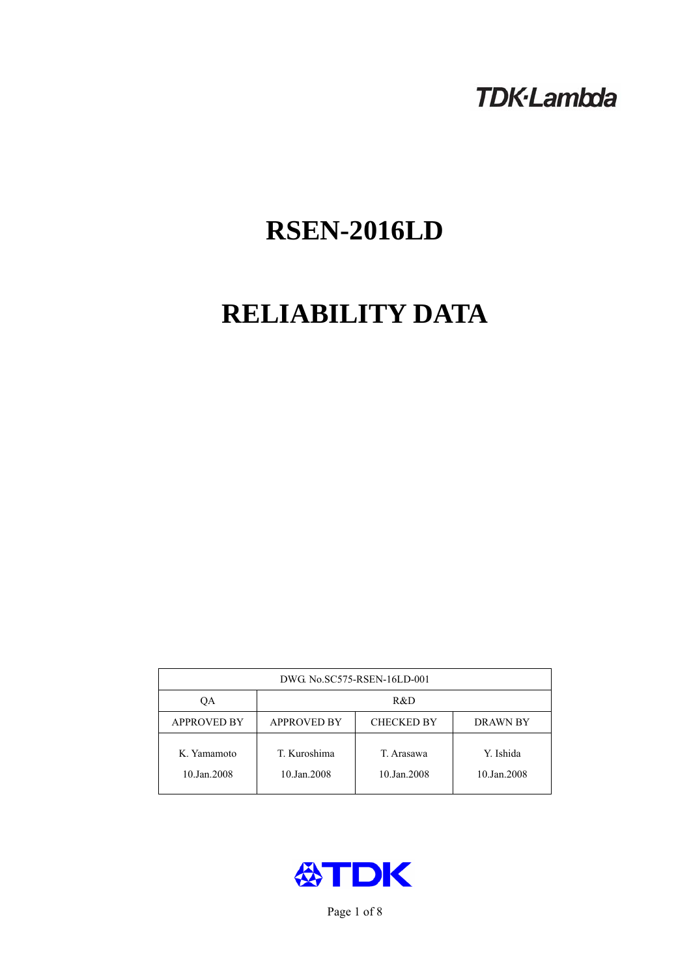# **TDK-Lambda**

# **RSEN-2016LD**

# **RELIABILITY DATA**

| DWG. No.SC575-RSEN-16LD-001 |                                                            |                           |                          |  |  |
|-----------------------------|------------------------------------------------------------|---------------------------|--------------------------|--|--|
| QA                          | R&D                                                        |                           |                          |  |  |
| <b>APPROVED BY</b>          | <b>APPROVED BY</b><br><b>CHECKED BY</b><br><b>DRAWN BY</b> |                           |                          |  |  |
| K. Yamamoto<br>10.Jan.2008  | T. Kuroshima<br>10.Jan.2008                                | T. Arasawa<br>10.Jan.2008 | Y. Ishida<br>10.Jan.2008 |  |  |



Page 1 of 8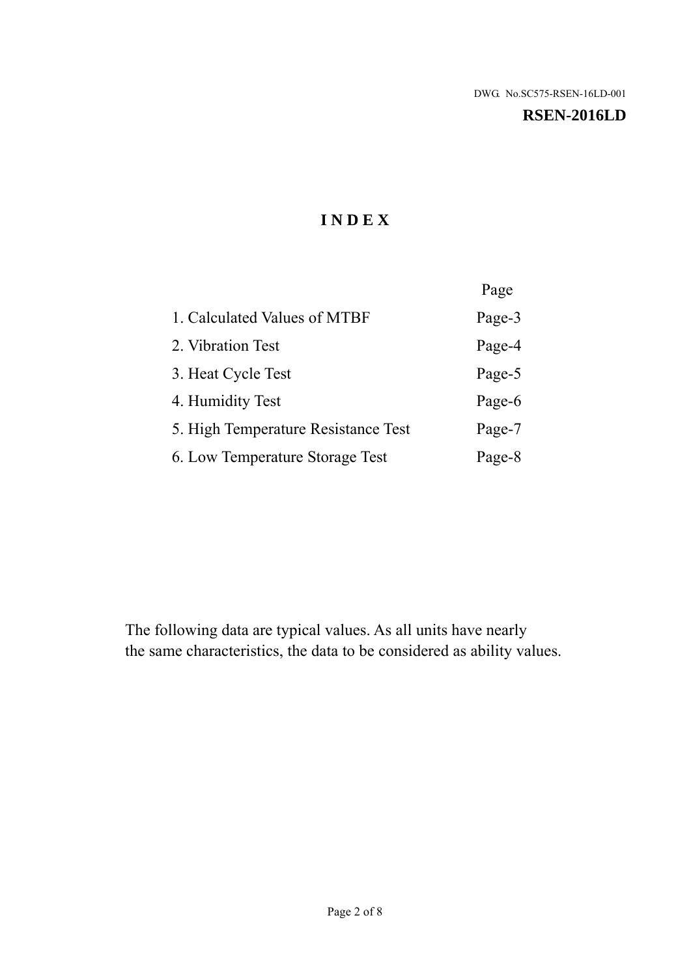#### **RSEN-2016LD**

# **I N D E X**

|                                     | Page   |
|-------------------------------------|--------|
| 1. Calculated Values of MTBF        | Page-3 |
| 2. Vibration Test                   | Page-4 |
| 3. Heat Cycle Test                  | Page-5 |
| 4. Humidity Test                    | Page-6 |
| 5. High Temperature Resistance Test | Page-7 |
| 6. Low Temperature Storage Test     | Page-8 |

The following data are typical values. As all units have nearly the same characteristics, the data to be considered as ability values.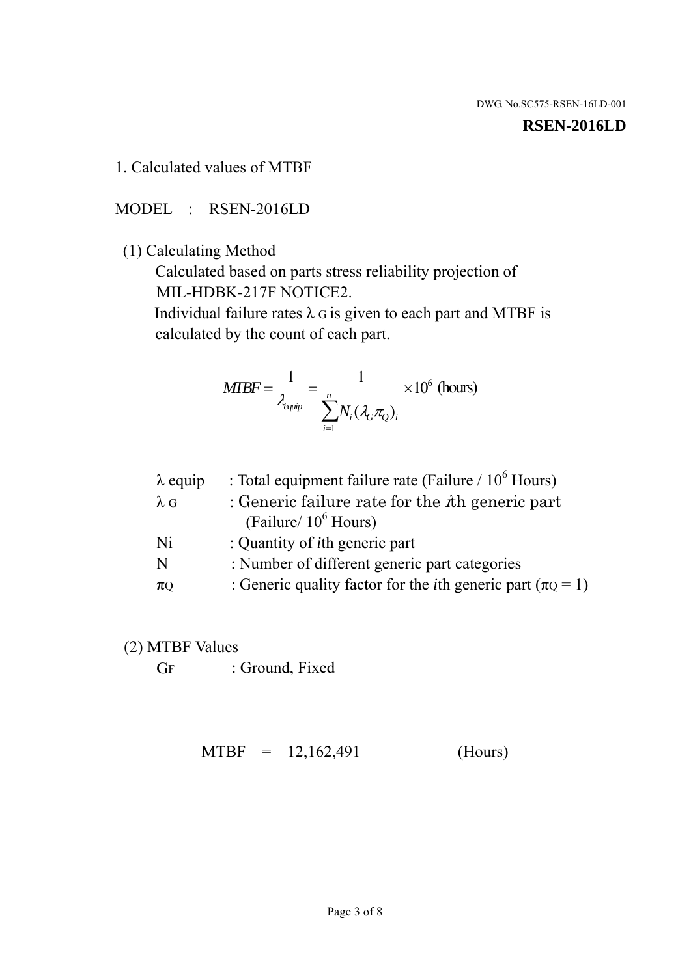#### **RSEN-2016LD**

1. Calculated values of MTBF

MODEL : RSEN-2016LD

(1) Calculating Method

 Calculated based on parts stress reliability projection of MIL-HDBK-217F NOTICE2.

Individual failure rates  $\lambda$  G is given to each part and MTBF is calculated by the count of each part.

$$
MIBF = \frac{1}{\lambda_{\text{equip}}} = \frac{1}{\sum_{i=1}^{n} N_i (\lambda_G \pi_Q)_i} \times 10^6 \text{ (hours)}
$$

| $\lambda$ equip | : Total equipment failure rate (Failure $/ 10^6$ Hours)                   |
|-----------------|---------------------------------------------------------------------------|
| $\lambda$ G     | : Generic failure rate for the $\hbar$ generic part                       |
|                 | (Failure/ $10^6$ Hours)                                                   |
| Ni              | : Quantity of <i>i</i> th generic part                                    |
| N               | : Number of different generic part categories                             |
| $\pi$ Q         | : Generic quality factor for the <i>i</i> th generic part ( $\pi Q = 1$ ) |

- (2) MTBF Values
	- GF : Ground, Fixed

 $MTBF = 12,162,491$  (Hours)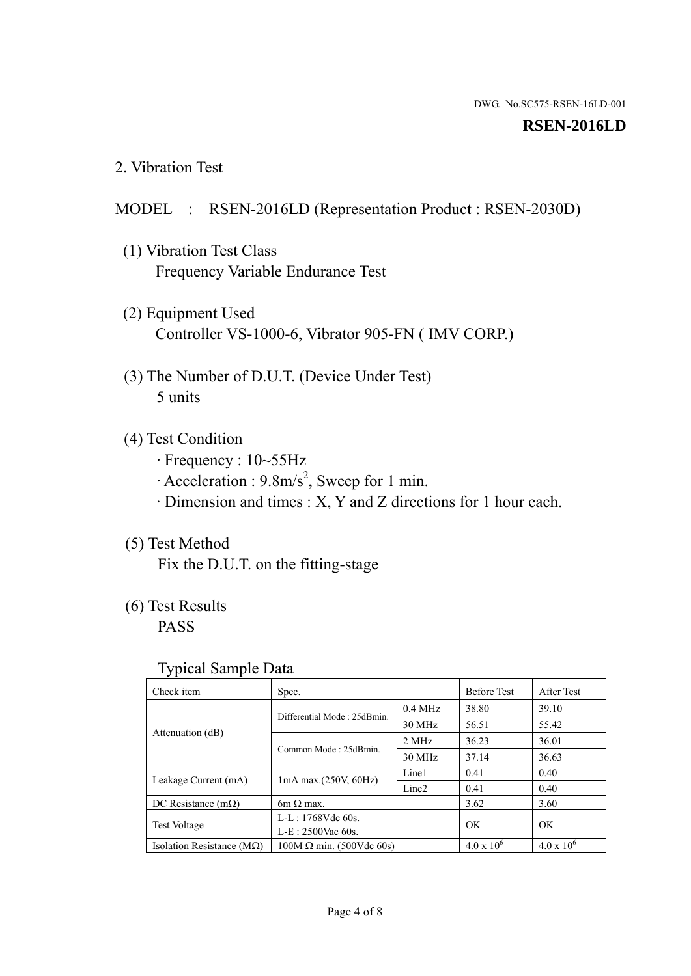#### **RSEN-2016LD**

2. Vibration Test

### MODEL : RSEN-2016LD (Representation Product : RSEN-2030D)

- (1) Vibration Test Class Frequency Variable Endurance Test
- (2) Equipment Used Controller VS-1000-6, Vibrator 905-FN ( IMV CORP.)
- (3) The Number of D.U.T. (Device Under Test) 5 units
- (4) Test Condition
	- · Frequency : 10~55Hz
	- $\cdot$  Acceleration : 9.8m/s<sup>2</sup>, Sweep for 1 min.
	- · Dimension and times : X, Y and Z directions for 1 hour each.

# (5) Test Method

Fix the D.U.T. on the fitting-stage

# (6) Test Results

PASS

#### Typical Sample Data

| . .                           |                                 |                   |                     |                     |
|-------------------------------|---------------------------------|-------------------|---------------------|---------------------|
| Check item                    | Spec.                           |                   | <b>Before Test</b>  | After Test          |
|                               | Differential Mode: 25dBmin.     | $0.4$ MHz         | 38.80               | 39.10               |
|                               |                                 | 30 MHz            | 56.51               | 55.42               |
| Attenuation (dB)              | Common Mode: 25dBmin.           | 2 MHz             | 36.23               | 36.01               |
|                               |                                 | 30 MHz            | 37.14               | 36.63               |
| Leakage Current (mA)          | $1mA$ max. $(250V, 60Hz)$       | Line1             | 0.41                | 0.40                |
|                               |                                 | Line <sub>2</sub> | 0.41                | 0.40                |
| DC Resistance $(m\Omega)$     | $6m \Omega$ max.                |                   | 3.62                | 3.60                |
| <b>Test Voltage</b>           | $L-L: 1768Vdc$ 60s.             |                   | OK                  | OK.                 |
|                               | $L-E$ : 2500Vac 60s.            |                   |                     |                     |
| Isolation Resistance ( $MQ$ ) | $100M \Omega$ min. (500Vdc 60s) |                   | $4.0 \times 10^{6}$ | $4.0 \times 10^{6}$ |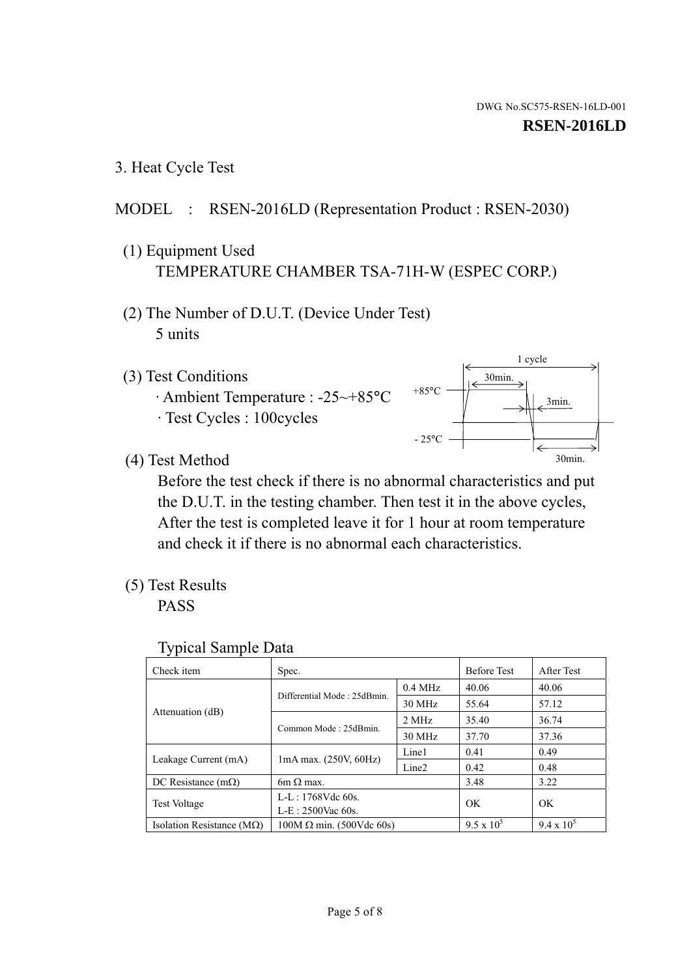3. Heat Cycle Test

# MODEL : RSEN-2016LD (Representation Product : RSEN-2030)

- (1) Equipment Used TEMPERATURE CHAMBER TSA-71H-W (ESPEC CORP.)
- (2) The Number of D.U.T. (Device Under Test) 5 units
- (3) Test Conditions
	- · Ambient Temperature : -25~+85°C · Test Cycles : 100cycles



(4) Test Method

 Before the test check if there is no abnormal characteristics and put the D.U.T. in the testing chamber. Then test it in the above cycles, After the test is completed leave it for 1 hour at room temperature and check it if there is no abnormal each characteristics.

(5) Test Results

PASS

| <b>Typical Sample Data</b> |  |  |
|----------------------------|--|--|
|----------------------------|--|--|

| Check item                    | Spec.                           |                     | <b>Before Test</b> | After Test        |
|-------------------------------|---------------------------------|---------------------|--------------------|-------------------|
|                               | Differential Mode: 25dBmin.     | $0.4\ \mathrm{MHz}$ | 40.06              | 40.06             |
|                               |                                 | 30 MHz              | 55.64              | 57.12             |
| Attenuation (dB)              | Common Mode: 25dBmin.           | 2 MHz               | 35.40              | 36.74             |
|                               |                                 | 30 MHz              | 37.70              | 37.36             |
| Leakage Current (mA)          | $1mA$ max. $(250V, 60Hz)$       | Line1               | 0.41               | 0.49              |
|                               |                                 | Line <sub>2</sub>   | 0.42               | 0.48              |
| DC Resistance $(m\Omega)$     | $6m \Omega$ max.                |                     | 3.48               | 3.22              |
| <b>Test Voltage</b>           | L-L: 1768Vdc 60s.               |                     | OK                 | OK                |
|                               | $L-E: 2500$ Vac 60s.            |                     |                    |                   |
| Isolation Resistance ( $MQ$ ) | $100M \Omega$ min. (500Vdc 60s) |                     | $9.5 \times 10^5$  | $9.4 \times 10^5$ |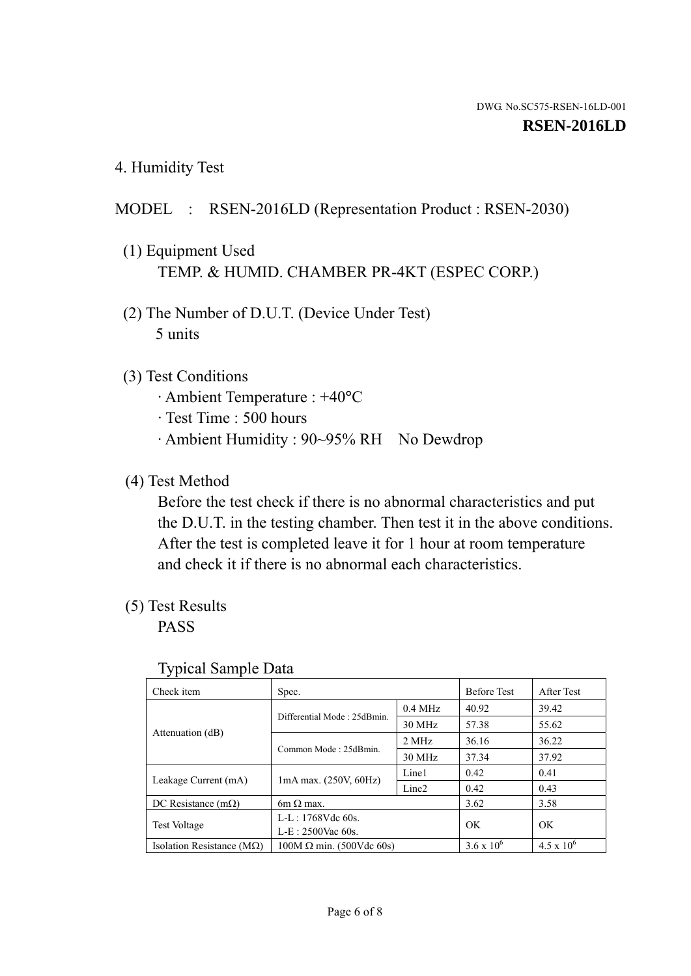4. Humidity Test

# MODEL : RSEN-2016LD (Representation Product : RSEN-2030)

- (1) Equipment Used TEMP. & HUMID. CHAMBER PR-4KT (ESPEC CORP.)
- (2) The Number of D.U.T. (Device Under Test) 5 units

# (3) Test Conditions

- · Ambient Temperature : +40°C
- · Test Time : 500 hours
- · Ambient Humidity : 90~95% RH No Dewdrop

# (4) Test Method

 Before the test check if there is no abnormal characteristics and put the D.U.T. in the testing chamber. Then test it in the above conditions. After the test is completed leave it for 1 hour at room temperature and check it if there is no abnormal each characteristics.

# (5) Test Results

PASS

| . .                                |                                 |                   |                     |                     |
|------------------------------------|---------------------------------|-------------------|---------------------|---------------------|
| Check item                         | Spec.                           |                   | <b>Before Test</b>  | After Test          |
|                                    | Differential Mode: 25dBmin.     | $0.4$ MHz         | 40.92               | 39.42               |
|                                    |                                 | 30 MHz            | 57.38               | 55.62               |
| Attenuation (dB)                   | Common Mode: 25dBmin.           | 2 MHz             | 36.16               | 36.22               |
|                                    |                                 | 30 MHz            | 37.34               | 37.92               |
| Leakage Current (mA)               | $1mA$ max. $(250V, 60Hz)$       | Line1             | 0.42                | 0.41                |
|                                    |                                 | Line <sub>2</sub> | 0.42                | 0.43                |
| DC Resistance (m $\Omega$ )        | $6m \Omega$ max.                |                   | 3.62                | 3.58                |
| <b>Test Voltage</b>                | $L-L: 1768Vdc$ 60s.             |                   | OK                  |                     |
|                                    | $L-E$ : 2500Vac 60s.            |                   |                     | OK.                 |
| Isolation Resistance ( $M\Omega$ ) | $100M \Omega$ min. (500Vdc 60s) |                   | $3.6 \times 10^{6}$ | $4.5 \times 10^{6}$ |

#### Typical Sample Data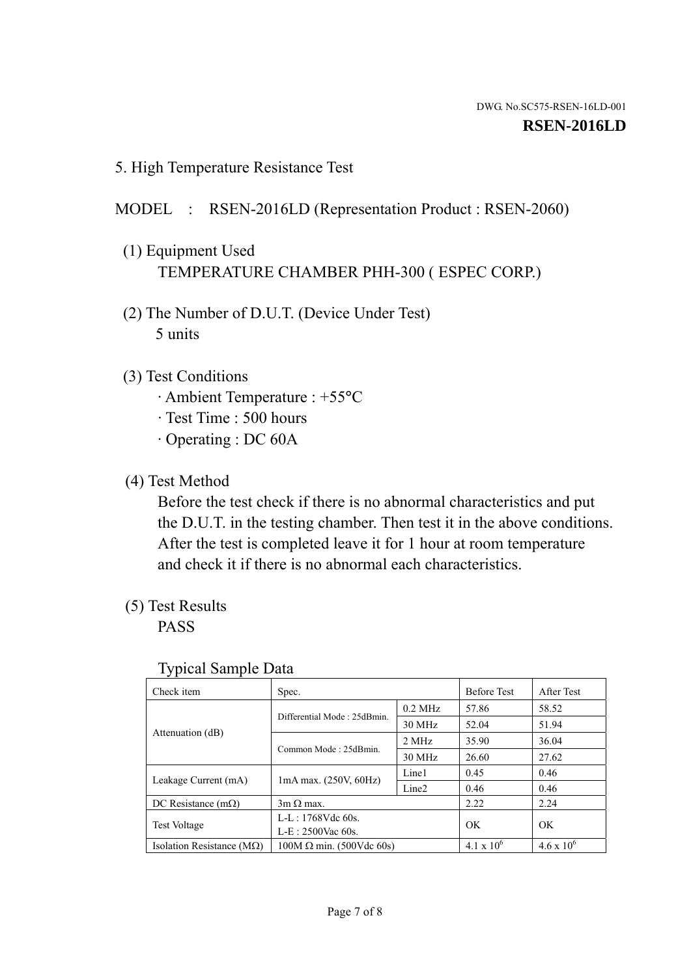5. High Temperature Resistance Test

### MODEL : RSEN-2016LD (Representation Product : RSEN-2060)

- (1) Equipment Used TEMPERATURE CHAMBER PHH-300 ( ESPEC CORP.)
- (2) The Number of D.U.T. (Device Under Test) 5 units
- (3) Test Conditions
	- · Ambient Temperature : +55°C
	- · Test Time : 500 hours
	- · Operating : DC 60A
- (4) Test Method

 Before the test check if there is no abnormal characteristics and put the D.U.T. in the testing chamber. Then test it in the above conditions. After the test is completed leave it for 1 hour at room temperature and check it if there is no abnormal each characteristics.

(5) Test Results

PASS

| ╯┸                                 |                                 |                   |                     |                     |
|------------------------------------|---------------------------------|-------------------|---------------------|---------------------|
| Check item                         | Spec.                           |                   | <b>Before Test</b>  | After Test          |
|                                    | Differential Mode: 25dBmin.     | $0.2$ MHz         | 57.86               | 58.52               |
|                                    |                                 | 30 MHz            | 52.04               | 51.94               |
| Attenuation (dB)                   | Common Mode: 25dBmin.           | 2 MHz             | 35.90               | 36.04               |
|                                    |                                 | 30 MHz            | 26.60               | 27.62               |
| Leakage Current (mA)               | $1mA$ max. $(250V, 60Hz)$       | Line1             | 0.45                | 0.46                |
|                                    |                                 | Line <sub>2</sub> | 0.46                | 0.46                |
| DC Resistance $(m\Omega)$          | $3m \Omega$ max.                |                   | 2.22                | 2.24                |
| <b>Test Voltage</b>                | $L-L: 1768Vdc$ 60s.             |                   | OK                  | OK                  |
|                                    | $L-E: 2500$ Vac 60s.            |                   |                     |                     |
| Isolation Resistance ( $M\Omega$ ) | $100M \Omega$ min. (500Vdc 60s) |                   | $4.1 \times 10^{6}$ | $4.6 \times 10^{6}$ |

#### Typical Sample Data